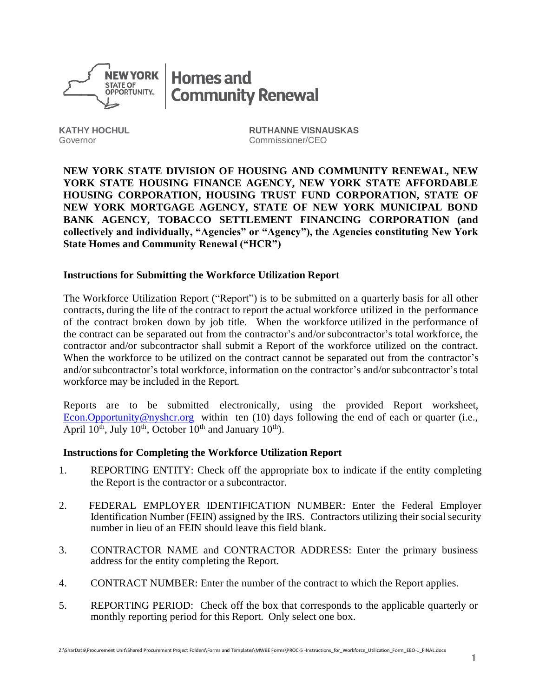

**Homes and Community Renewal** 

**KATHY HOCHUL RUTHANNE VISNAUSKAS** Governor Commissioner/CEO

**NEW YORK STATE DIVISION OF HOUSING AND COMMUNITY RENEWAL, NEW YORK STATE HOUSING FINANCE AGENCY, NEW YORK STATE AFFORDABLE HOUSING CORPORATION, HOUSING TRUST FUND CORPORATION, STATE OF NEW YORK MORTGAGE AGENCY, STATE OF NEW YORK MUNICIPAL BOND BANK AGENCY, TOBACCO SETTLEMENT FINANCING CORPORATION (and collectively and individually, "Agencies" or "Agency"), the Agencies constituting New York State Homes and Community Renewal ("HCR")**

## **Instructions for Submitting the Workforce Utilization Report**

The Workforce Utilization Report ("Report") is to be submitted on a quarterly basis for all other contracts, during the life of the contract to report the actual workforce utilized in the performance of the contract broken down by job title. When the workforce utilized in the performance of the contract can be separated out from the contractor's and/or subcontractor's total workforce, the contractor and/or subcontractor shall submit a Report of the workforce utilized on the contract. When the workforce to be utilized on the contract cannot be separated out from the contractor's and/or subcontractor's total workforce, information on the contractor's and/or subcontractor's total workforce may be included in the Report.

Reports are to be submitted electronically, using the provided Report worksheet, [Econ.Opportunity@nyshcr.org](mailto:Econ.Opportunity@nyshcr.org) within ten (10) days following the end of each or quarter (i.e., April  $10^{th}$ , July  $10^{th}$ , October  $10^{th}$  and January  $10^{th}$ ).

## **Instructions for Completing the Workforce Utilization Report**

- 1. REPORTING ENTITY: Check off the appropriate box to indicate if the entity completing the Report is the contractor or a subcontractor.
- 2. FEDERAL EMPLOYER IDENTIFICATION NUMBER: Enter the Federal Employer Identification Number (FEIN) assigned by the IRS. Contractors utilizing their social security number in lieu of an FEIN should leave this field blank.
- 3. CONTRACTOR NAME and CONTRACTOR ADDRESS: Enter the primary business address for the entity completing the Report.
- 4. CONTRACT NUMBER: Enter the number of the contract to which the Report applies.
- 5. REPORTING PERIOD: Check off the box that corresponds to the applicable quarterly or monthly reporting period for this Report. Only select one box.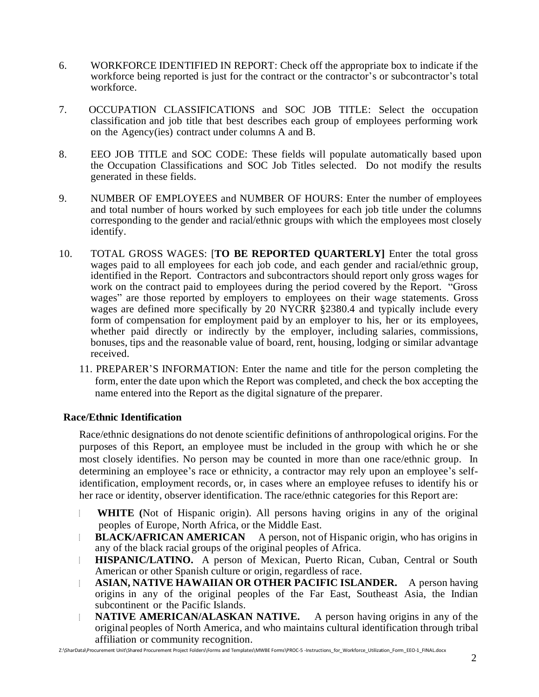- 6. WORKFORCE IDENTIFIED IN REPORT: Check off the appropriate box to indicate if the workforce being reported is just for the contract or the contractor's or subcontractor's total workforce.
- 7. OCCUPATION CLASSIFICATIONS and SOC JOB TITLE: Select the occupation classification and job title that best describes each group of employees performing work on the Agency(ies) contract under columns A and B.
- 8. EEO JOB TITLE and SOC CODE: These fields will populate automatically based upon the Occupation Classifications and SOC Job Titles selected. Do not modify the results generated in these fields.
- 9. NUMBER OF EMPLOYEES and NUMBER OF HOURS: Enter the number of employees and total number of hours worked by such employees for each job title under the columns corresponding to the gender and racial/ethnic groups with which the employees most closely identify.
- 10. TOTAL GROSS WAGES: [**TO BE REPORTED QUARTERLY]** Enter the total gross wages paid to all employees for each job code, and each gender and racial/ethnic group, identified in the Report. Contractors and subcontractors should report only gross wages for work on the contract paid to employees during the period covered by the Report. "Gross wages" are those reported by employers to employees on their wage statements. Gross wages are defined more specifically by 20 NYCRR §2380.4 and typically include every form of compensation for employment paid by an employer to his, her or its employees, whether paid directly or indirectly by the employer, including salaries, commissions, bonuses, tips and the reasonable value of board, rent, housing, lodging or similar advantage received.
	- 11. PREPARER'S INFORMATION: Enter the name and title for the person completing the form, enter the date upon which the Report was completed, and check the box accepting the name entered into the Report as the digital signature of the preparer.

## **Race/Ethnic Identification**

Race/ethnic designations do not denote scientific definitions of anthropological origins. For the purposes of this Report, an employee must be included in the group with which he or she most closely identifies. No person may be counted in more than one race/ethnic group. In determining an employee's race or ethnicity, a contractor may rely upon an employee's selfidentification, employment records, or, in cases where an employee refuses to identify his or her race or identity, observer identification. The race/ethnic categories for this Report are:

- **WHITE (**Not of Hispanic origin). All persons having origins in any of the original peoples of Europe, North Africa, or the Middle East.
- **BLACK/AFRICAN AMERICAN** A person, not of Hispanic origin, who has origins in  $\mathbb{L}$ any of the black racial groups of the original peoples of Africa.
- **HISPANIC/LATINO.** A person of Mexican, Puerto Rican, Cuban, Central or South  $\begin{array}{ccc} \hline \end{array}$ American or other Spanish culture or origin, regardless of race.
- **ASIAN, NATIVE HAWAIIAN OR OTHER PACIFIC ISLANDER.** A person having  $\mathbb{L}$ origins in any of the original peoples of the Far East, Southeast Asia, the Indian subcontinent or the Pacific Islands.
- **NATIVE AMERICAN/ALASKAN NATIVE.** A person having origins in any of the  $\mathbb{L}$ original peoples of North America, and who maintains cultural identification through tribal affiliation or community recognition.